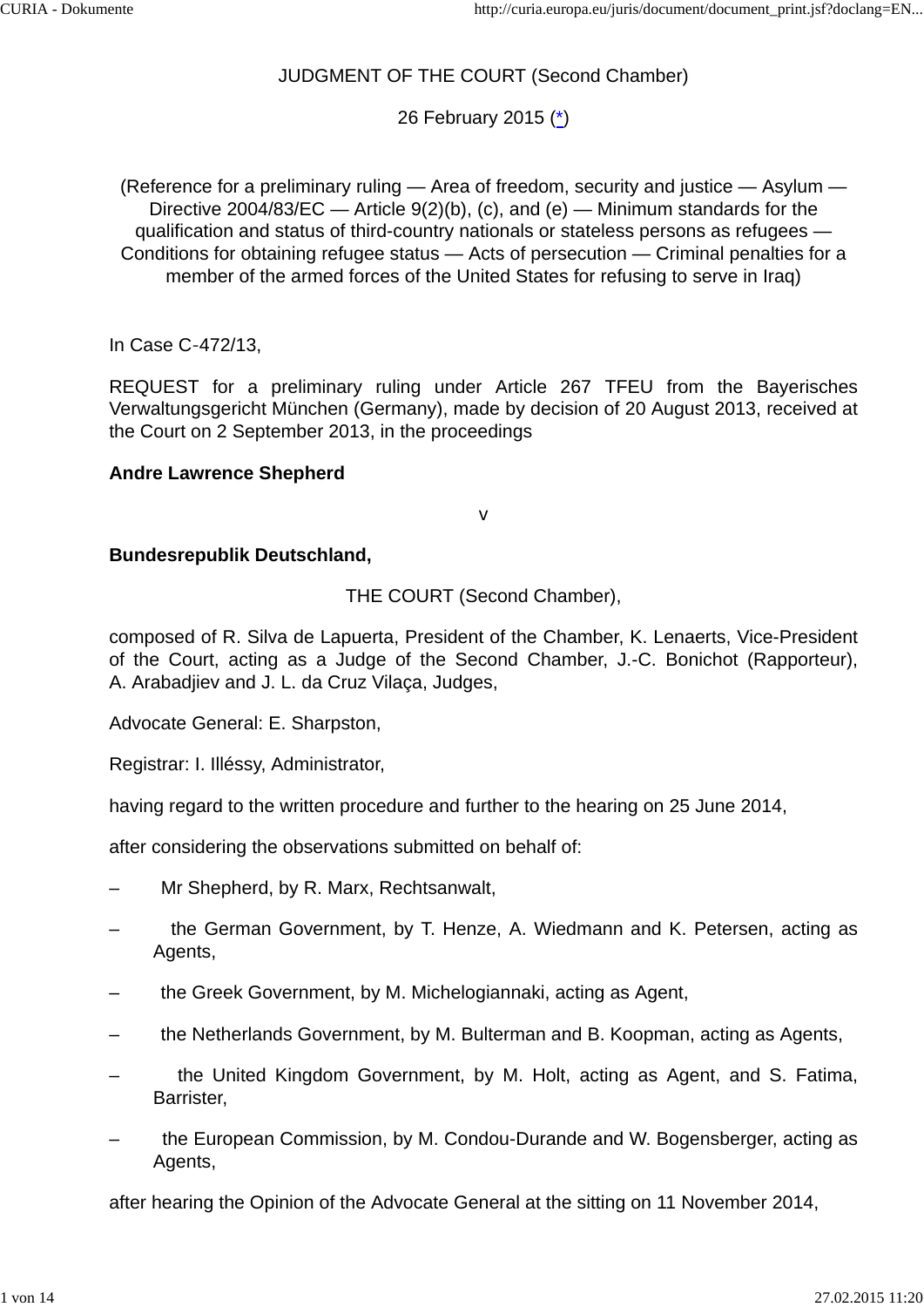# JUDGMENT OF THE COURT (Second Chamber)

26 February 2015 (\*)

(Reference for a preliminary ruling — Area of freedom, security and justice — Asylum — Directive 2004/83/EC — Article 9(2)(b), (c), and (e) — Minimum standards for the qualification and status of third-country nationals or stateless persons as refugees — Conditions for obtaining refugee status — Acts of persecution — Criminal penalties for a member of the armed forces of the United States for refusing to serve in Iraq)

In Case C‑472/13,

REQUEST for a preliminary ruling under Article 267 TFEU from the Bayerisches Verwaltungsgericht München (Germany), made by decision of 20 August 2013, received at the Court on 2 September 2013, in the proceedings

## **Andre Lawrence Shepherd**

v

## **Bundesrepublik Deutschland,**

THE COURT (Second Chamber),

composed of R. Silva de Lapuerta, President of the Chamber, K. Lenaerts, Vice-President of the Court, acting as a Judge of the Second Chamber, J.-C. Bonichot (Rapporteur), A. Arabadjiev and J. L. da Cruz Vilaça, Judges,

Advocate General: E. Sharpston,

Registrar: I. Illéssy, Administrator,

having regard to the written procedure and further to the hearing on 25 June 2014,

after considering the observations submitted on behalf of:

- Mr Shepherd, by R. Marx, Rechtsanwalt,
- the German Government, by T. Henze, A. Wiedmann and K. Petersen, acting as Agents,
- the Greek Government, by M. Michelogiannaki, acting as Agent,
- the Netherlands Government, by M. Bulterman and B. Koopman, acting as Agents,
- the United Kingdom Government, by M. Holt, acting as Agent, and S. Fatima, Barrister,
- the European Commission, by M. Condou-Durande and W. Bogensberger, acting as Agents,

after hearing the Opinion of the Advocate General at the sitting on 11 November 2014,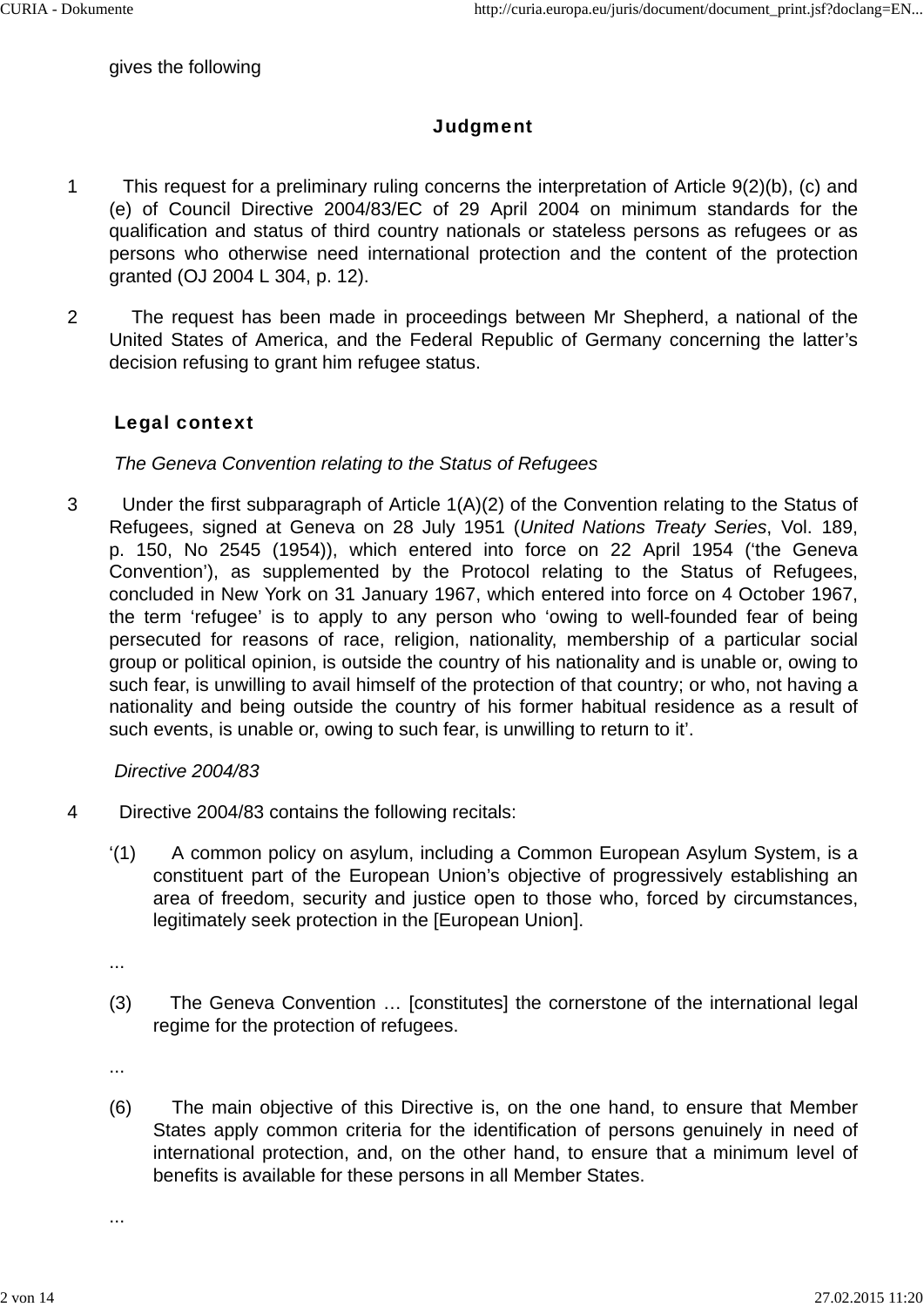#### gives the following

## **Judgment**

- 1 This request for a preliminary ruling concerns the interpretation of Article 9(2)(b), (c) and (e) of Council Directive 2004/83/EC of 29 April 2004 on minimum standards for the qualification and status of third country nationals or stateless persons as refugees or as persons who otherwise need international protection and the content of the protection granted (OJ 2004 L 304, p. 12).
- 2 The request has been made in proceedings between Mr Shepherd, a national of the United States of America, and the Federal Republic of Germany concerning the latter's decision refusing to grant him refugee status.

### Legal context

### *The Geneva Convention relating to the Status of Refugees*

3 Under the first subparagraph of Article 1(A)(2) of the Convention relating to the Status of Refugees, signed at Geneva on 28 July 1951 (*United Nations Treaty Series*, Vol. 189, p. 150, No 2545 (1954)), which entered into force on 22 April 1954 ('the Geneva Convention'), as supplemented by the Protocol relating to the Status of Refugees, concluded in New York on 31 January 1967, which entered into force on 4 October 1967, the term 'refugee' is to apply to any person who 'owing to well-founded fear of being persecuted for reasons of race, religion, nationality, membership of a particular social group or political opinion, is outside the country of his nationality and is unable or, owing to such fear, is unwilling to avail himself of the protection of that country; or who, not having a nationality and being outside the country of his former habitual residence as a result of such events, is unable or, owing to such fear, is unwilling to return to it'.

### *Directive 2004/83*

- 4 Directive 2004/83 contains the following recitals:
	- '(1) A common policy on asylum, including a Common European Asylum System, is a constituent part of the European Union's objective of progressively establishing an area of freedom, security and justice open to those who, forced by circumstances, legitimately seek protection in the [European Union].

...

(3) The Geneva Convention … [constitutes] the cornerstone of the international legal regime for the protection of refugees.

...

(6) The main objective of this Directive is, on the one hand, to ensure that Member States apply common criteria for the identification of persons genuinely in need of international protection, and, on the other hand, to ensure that a minimum level of benefits is available for these persons in all Member States.

...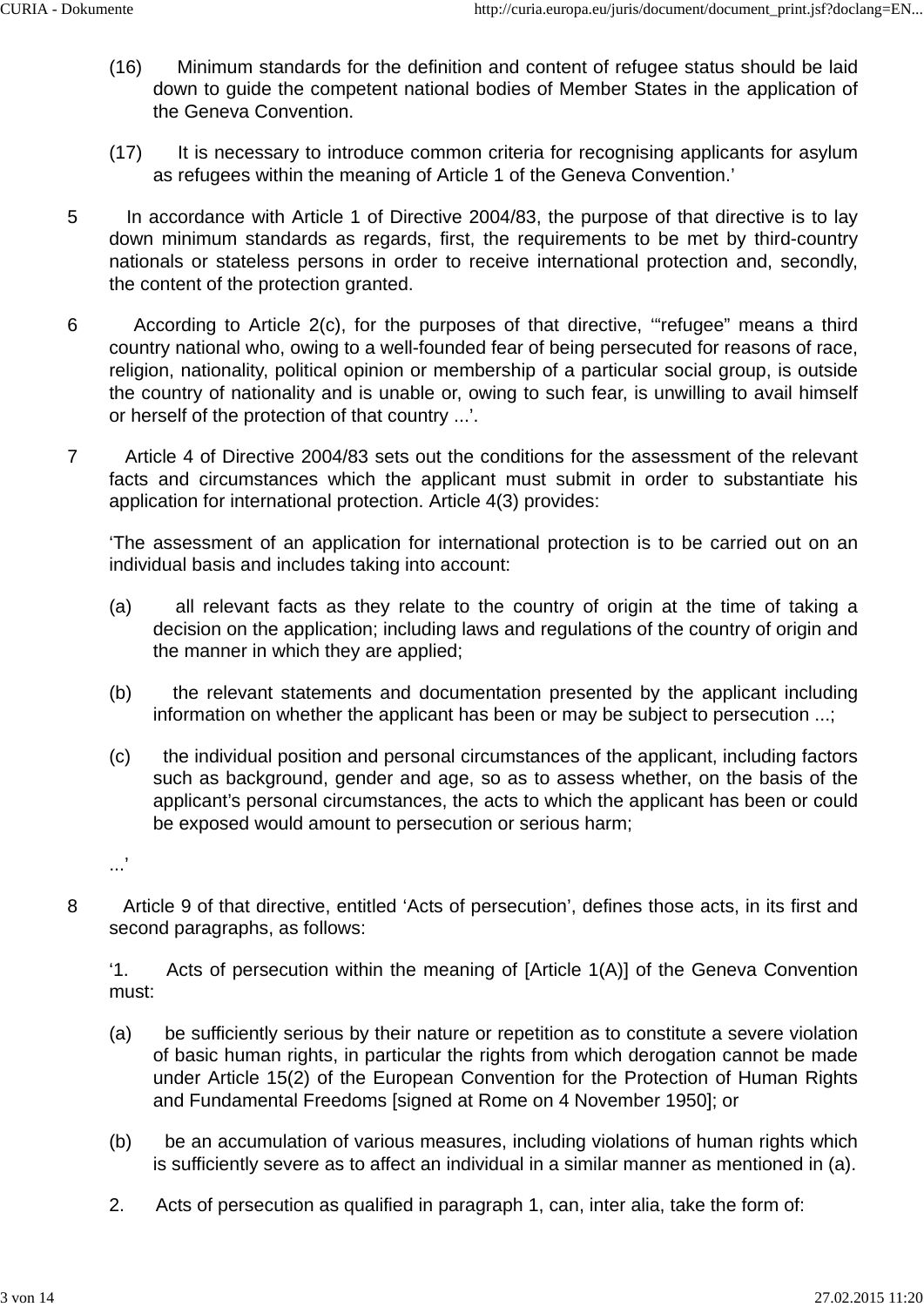- (16) Minimum standards for the definition and content of refugee status should be laid down to guide the competent national bodies of Member States in the application of the Geneva Convention.
- (17) It is necessary to introduce common criteria for recognising applicants for asylum as refugees within the meaning of Article 1 of the Geneva Convention.'
- 5 In accordance with Article 1 of Directive 2004/83, the purpose of that directive is to lay down minimum standards as regards, first, the requirements to be met by third-country nationals or stateless persons in order to receive international protection and, secondly, the content of the protection granted.
- 6 According to Article 2(c), for the purposes of that directive, '"refugee" means a third country national who, owing to a well-founded fear of being persecuted for reasons of race, religion, nationality, political opinion or membership of a particular social group, is outside the country of nationality and is unable or, owing to such fear, is unwilling to avail himself or herself of the protection of that country ...'.
- 7 Article 4 of Directive 2004/83 sets out the conditions for the assessment of the relevant facts and circumstances which the applicant must submit in order to substantiate his application for international protection. Article 4(3) provides:

'The assessment of an application for international protection is to be carried out on an individual basis and includes taking into account:

- (a) all relevant facts as they relate to the country of origin at the time of taking a decision on the application; including laws and regulations of the country of origin and the manner in which they are applied;
- (b) the relevant statements and documentation presented by the applicant including information on whether the applicant has been or may be subject to persecution ...;
- (c) the individual position and personal circumstances of the applicant, including factors such as background, gender and age, so as to assess whether, on the basis of the applicant's personal circumstances, the acts to which the applicant has been or could be exposed would amount to persecution or serious harm;
- 

...'

8 Article 9 of that directive, entitled 'Acts of persecution', defines those acts, in its first and second paragraphs, as follows:

'1. Acts of persecution within the meaning of [Article 1(A)] of the Geneva Convention must:

- (a) be sufficiently serious by their nature or repetition as to constitute a severe violation of basic human rights, in particular the rights from which derogation cannot be made under Article 15(2) of the European Convention for the Protection of Human Rights and Fundamental Freedoms [signed at Rome on 4 November 1950]; or
- (b) be an accumulation of various measures, including violations of human rights which is sufficiently severe as to affect an individual in a similar manner as mentioned in (a).
- 2. Acts of persecution as qualified in paragraph 1, can, inter alia, take the form of: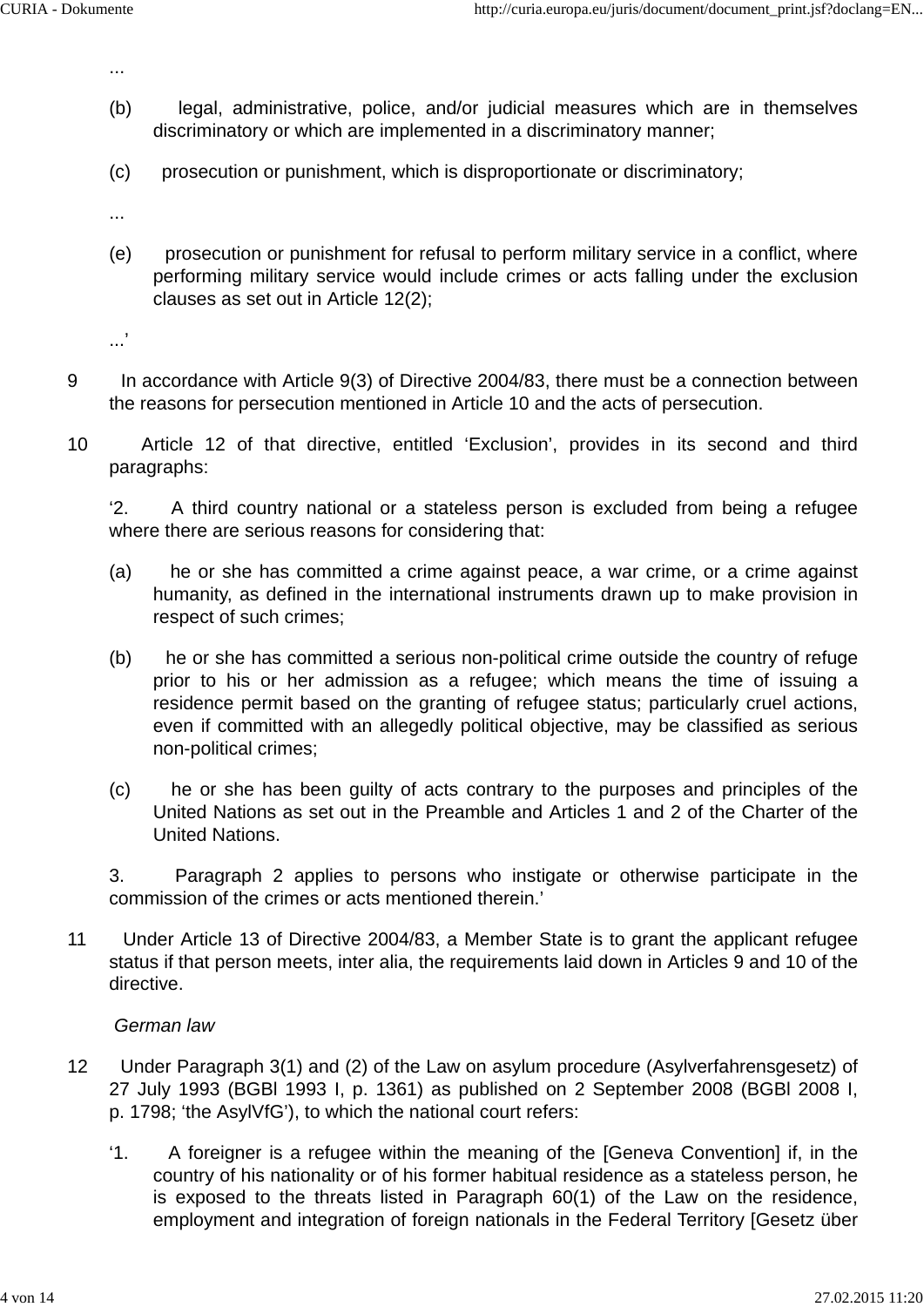...

- (b) legal, administrative, police, and/or judicial measures which are in themselves discriminatory or which are implemented in a discriminatory manner;
- (c) prosecution or punishment, which is disproportionate or discriminatory;

...

(e) prosecution or punishment for refusal to perform military service in a conflict, where performing military service would include crimes or acts falling under the exclusion clauses as set out in Article 12(2);

...'

- 9 In accordance with Article 9(3) of Directive 2004/83, there must be a connection between the reasons for persecution mentioned in Article 10 and the acts of persecution.
- 10 Article 12 of that directive, entitled 'Exclusion', provides in its second and third paragraphs:

'2. A third country national or a stateless person is excluded from being a refugee where there are serious reasons for considering that:

- (a) he or she has committed a crime against peace, a war crime, or a crime against humanity, as defined in the international instruments drawn up to make provision in respect of such crimes;
- (b) he or she has committed a serious non-political crime outside the country of refuge prior to his or her admission as a refugee; which means the time of issuing a residence permit based on the granting of refugee status; particularly cruel actions, even if committed with an allegedly political objective, may be classified as serious non-political crimes;
- (c) he or she has been guilty of acts contrary to the purposes and principles of the United Nations as set out in the Preamble and Articles 1 and 2 of the Charter of the United Nations.

3. Paragraph 2 applies to persons who instigate or otherwise participate in the commission of the crimes or acts mentioned therein.'

11 Under Article 13 of Directive 2004/83, a Member State is to grant the applicant refugee status if that person meets, inter alia, the requirements laid down in Articles 9 and 10 of the directive.

### *German law*

- 12 Under Paragraph 3(1) and (2) of the Law on asylum procedure (Asylverfahrensgesetz) of 27 July 1993 (BGBl 1993 I, p. 1361) as published on 2 September 2008 (BGBl 2008 I, p. 1798; 'the AsylVfG'), to which the national court refers:
	- '1. A foreigner is a refugee within the meaning of the [Geneva Convention] if, in the country of his nationality or of his former habitual residence as a stateless person, he is exposed to the threats listed in Paragraph 60(1) of the Law on the residence, employment and integration of foreign nationals in the Federal Territory [Gesetz über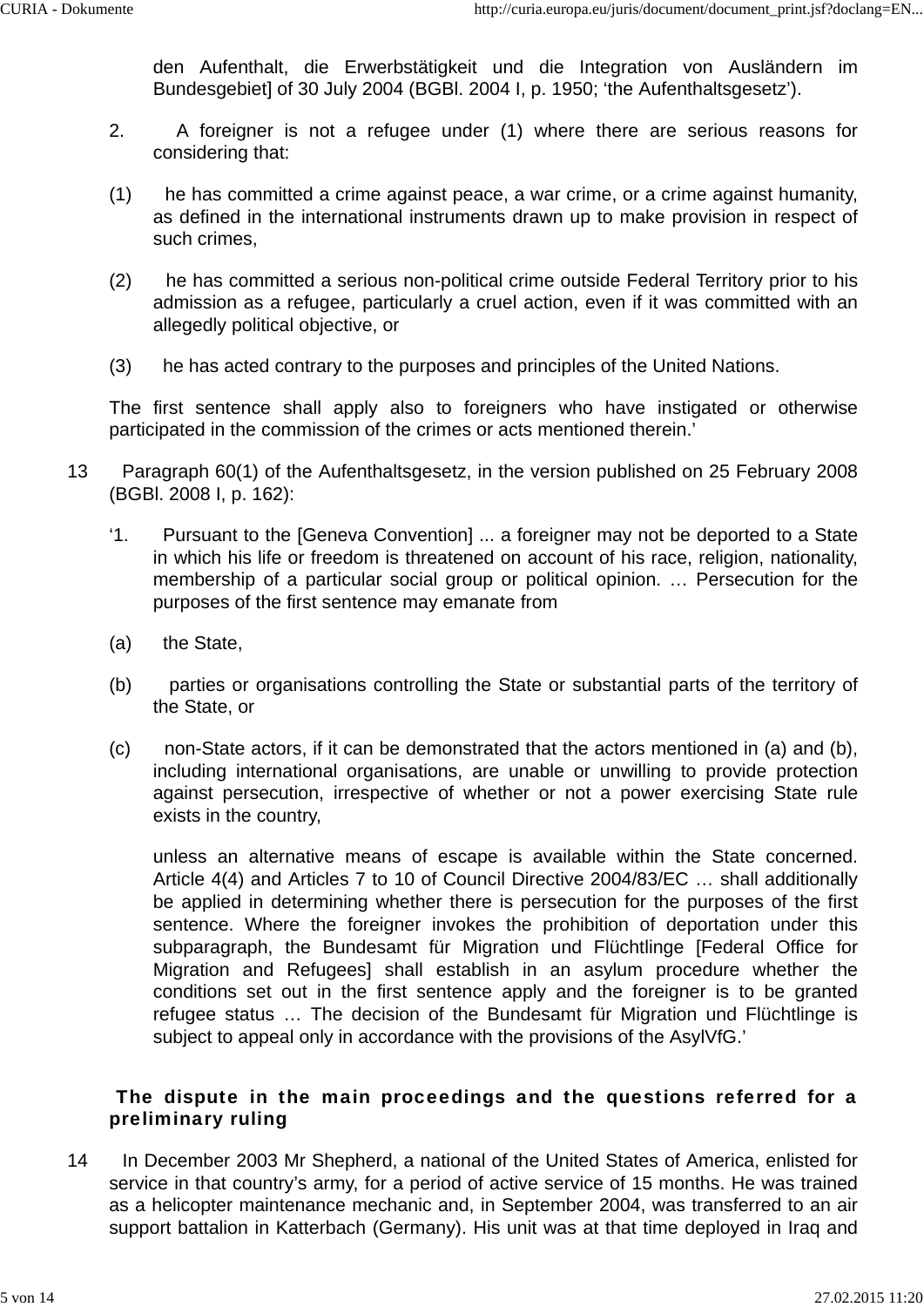den Aufenthalt, die Erwerbstätigkeit und die Integration von Ausländern im Bundesgebiet] of 30 July 2004 (BGBl. 2004 I, p. 1950; 'the Aufenthaltsgesetz').

- 2. A foreigner is not a refugee under (1) where there are serious reasons for considering that:
- (1) he has committed a crime against peace, a war crime, or a crime against humanity, as defined in the international instruments drawn up to make provision in respect of such crimes,
- (2) he has committed a serious non-political crime outside Federal Territory prior to his admission as a refugee, particularly a cruel action, even if it was committed with an allegedly political objective, or
- (3) he has acted contrary to the purposes and principles of the United Nations.

The first sentence shall apply also to foreigners who have instigated or otherwise participated in the commission of the crimes or acts mentioned therein.'

- 13 Paragraph 60(1) of the Aufenthaltsgesetz, in the version published on 25 February 2008 (BGBl. 2008 I, p. 162):
	- '1. Pursuant to the [Geneva Convention] ... a foreigner may not be deported to a State in which his life or freedom is threatened on account of his race, religion, nationality, membership of a particular social group or political opinion. … Persecution for the purposes of the first sentence may emanate from
	- (a) the State,
	- (b) parties or organisations controlling the State or substantial parts of the territory of the State, or
	- (c) non-State actors, if it can be demonstrated that the actors mentioned in (a) and (b), including international organisations, are unable or unwilling to provide protection against persecution, irrespective of whether or not a power exercising State rule exists in the country,

unless an alternative means of escape is available within the State concerned. Article 4(4) and Articles 7 to 10 of Council Directive 2004/83/EC … shall additionally be applied in determining whether there is persecution for the purposes of the first sentence. Where the foreigner invokes the prohibition of deportation under this subparagraph, the Bundesamt für Migration und Flüchtlinge [Federal Office for Migration and Refugees] shall establish in an asylum procedure whether the conditions set out in the first sentence apply and the foreigner is to be granted refugee status … The decision of the Bundesamt für Migration und Flüchtlinge is subject to appeal only in accordance with the provisions of the AsylVfG.'

### The dispute in the main proceedings and the questions referred for a preliminary ruling

14 In December 2003 Mr Shepherd, a national of the United States of America, enlisted for service in that country's army, for a period of active service of 15 months. He was trained as a helicopter maintenance mechanic and, in September 2004, was transferred to an air support battalion in Katterbach (Germany). His unit was at that time deployed in Iraq and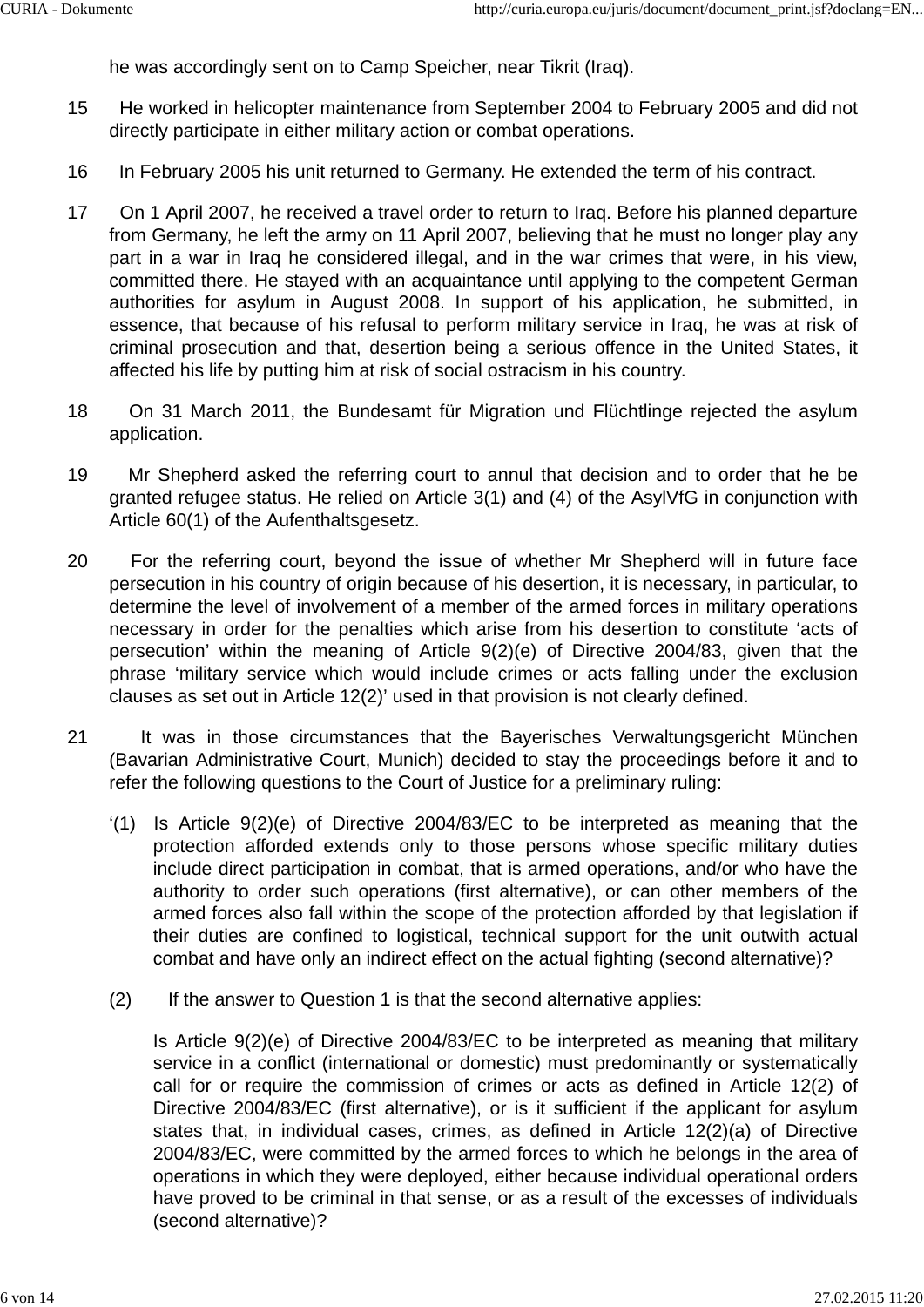he was accordingly sent on to Camp Speicher, near Tikrit (Iraq).

- 15 He worked in helicopter maintenance from September 2004 to February 2005 and did not directly participate in either military action or combat operations.
- 16 In February 2005 his unit returned to Germany. He extended the term of his contract.
- 17 On 1 April 2007, he received a travel order to return to Iraq. Before his planned departure from Germany, he left the army on 11 April 2007, believing that he must no longer play any part in a war in Iraq he considered illegal, and in the war crimes that were, in his view, committed there. He stayed with an acquaintance until applying to the competent German authorities for asylum in August 2008. In support of his application, he submitted, in essence, that because of his refusal to perform military service in Iraq, he was at risk of criminal prosecution and that, desertion being a serious offence in the United States, it affected his life by putting him at risk of social ostracism in his country.
- 18 On 31 March 2011, the Bundesamt für Migration und Flüchtlinge rejected the asylum application.
- 19 Mr Shepherd asked the referring court to annul that decision and to order that he be granted refugee status. He relied on Article 3(1) and (4) of the AsylVfG in conjunction with Article 60(1) of the Aufenthaltsgesetz.
- 20 For the referring court, beyond the issue of whether Mr Shepherd will in future face persecution in his country of origin because of his desertion, it is necessary, in particular, to determine the level of involvement of a member of the armed forces in military operations necessary in order for the penalties which arise from his desertion to constitute 'acts of persecution' within the meaning of Article 9(2)(e) of Directive 2004/83, given that the phrase 'military service which would include crimes or acts falling under the exclusion clauses as set out in Article 12(2)' used in that provision is not clearly defined.
- 21 It was in those circumstances that the Bayerisches Verwaltungsgericht München (Bavarian Administrative Court, Munich) decided to stay the proceedings before it and to refer the following questions to the Court of Justice for a preliminary ruling:
	- '(1) Is Article 9(2)(e) of Directive 2004/83/EC to be interpreted as meaning that the protection afforded extends only to those persons whose specific military duties include direct participation in combat, that is armed operations, and/or who have the authority to order such operations (first alternative), or can other members of the armed forces also fall within the scope of the protection afforded by that legislation if their duties are confined to logistical, technical support for the unit outwith actual combat and have only an indirect effect on the actual fighting (second alternative)?
	- (2) If the answer to Question 1 is that the second alternative applies:

Is Article 9(2)(e) of Directive 2004/83/EC to be interpreted as meaning that military service in a conflict (international or domestic) must predominantly or systematically call for or require the commission of crimes or acts as defined in Article 12(2) of Directive 2004/83/EC (first alternative), or is it sufficient if the applicant for asylum states that, in individual cases, crimes, as defined in Article 12(2)(a) of Directive 2004/83/EC, were committed by the armed forces to which he belongs in the area of operations in which they were deployed, either because individual operational orders have proved to be criminal in that sense, or as a result of the excesses of individuals (second alternative)?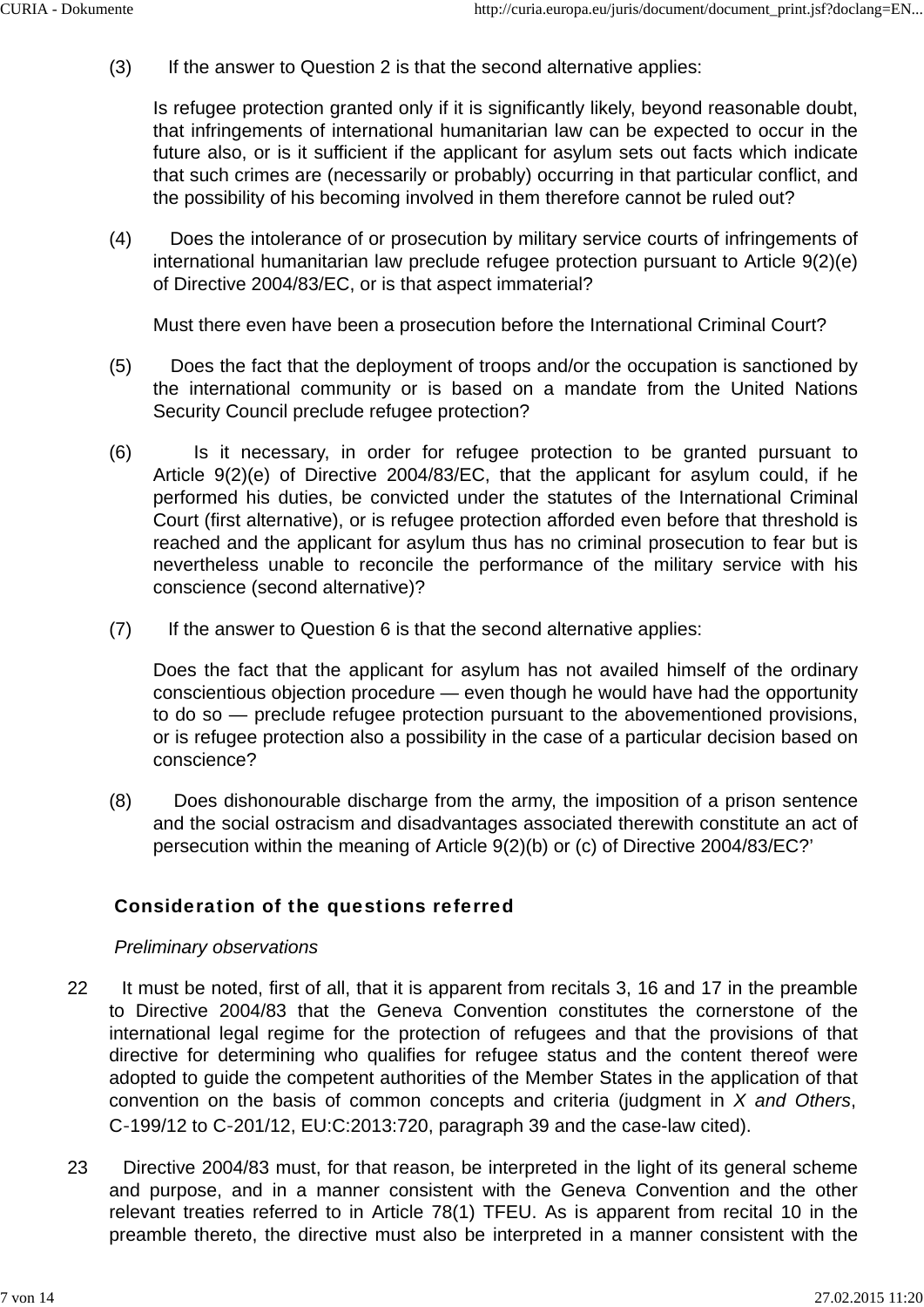(3) If the answer to Question 2 is that the second alternative applies:

Is refugee protection granted only if it is significantly likely, beyond reasonable doubt, that infringements of international humanitarian law can be expected to occur in the future also, or is it sufficient if the applicant for asylum sets out facts which indicate that such crimes are (necessarily or probably) occurring in that particular conflict, and the possibility of his becoming involved in them therefore cannot be ruled out?

(4) Does the intolerance of or prosecution by military service courts of infringements of international humanitarian law preclude refugee protection pursuant to Article 9(2)(e) of Directive 2004/83/EC, or is that aspect immaterial?

Must there even have been a prosecution before the International Criminal Court?

- (5) Does the fact that the deployment of troops and/or the occupation is sanctioned by the international community or is based on a mandate from the United Nations Security Council preclude refugee protection?
- (6) Is it necessary, in order for refugee protection to be granted pursuant to Article 9(2)(e) of Directive 2004/83/EC, that the applicant for asylum could, if he performed his duties, be convicted under the statutes of the International Criminal Court (first alternative), or is refugee protection afforded even before that threshold is reached and the applicant for asylum thus has no criminal prosecution to fear but is nevertheless unable to reconcile the performance of the military service with his conscience (second alternative)?
- (7) If the answer to Question 6 is that the second alternative applies:

Does the fact that the applicant for asylum has not availed himself of the ordinary conscientious objection procedure — even though he would have had the opportunity to do so — preclude refugee protection pursuant to the abovementioned provisions, or is refugee protection also a possibility in the case of a particular decision based on conscience?

(8) Does dishonourable discharge from the army, the imposition of a prison sentence and the social ostracism and disadvantages associated therewith constitute an act of persecution within the meaning of Article 9(2)(b) or (c) of Directive 2004/83/EC?'

## Consideration of the questions referred

### *Preliminary observations*

- 22 It must be noted, first of all, that it is apparent from recitals 3, 16 and 17 in the preamble to Directive 2004/83 that the Geneva Convention constitutes the cornerstone of the international legal regime for the protection of refugees and that the provisions of that directive for determining who qualifies for refugee status and the content thereof were adopted to guide the competent authorities of the Member States in the application of that convention on the basis of common concepts and criteria (judgment in *X and Others*, C‑199/12 to C‑201/12, EU:C:2013:720, paragraph 39 and the case-law cited).
- 23 Directive 2004/83 must, for that reason, be interpreted in the light of its general scheme and purpose, and in a manner consistent with the Geneva Convention and the other relevant treaties referred to in Article 78(1) TFEU. As is apparent from recital 10 in the preamble thereto, the directive must also be interpreted in a manner consistent with the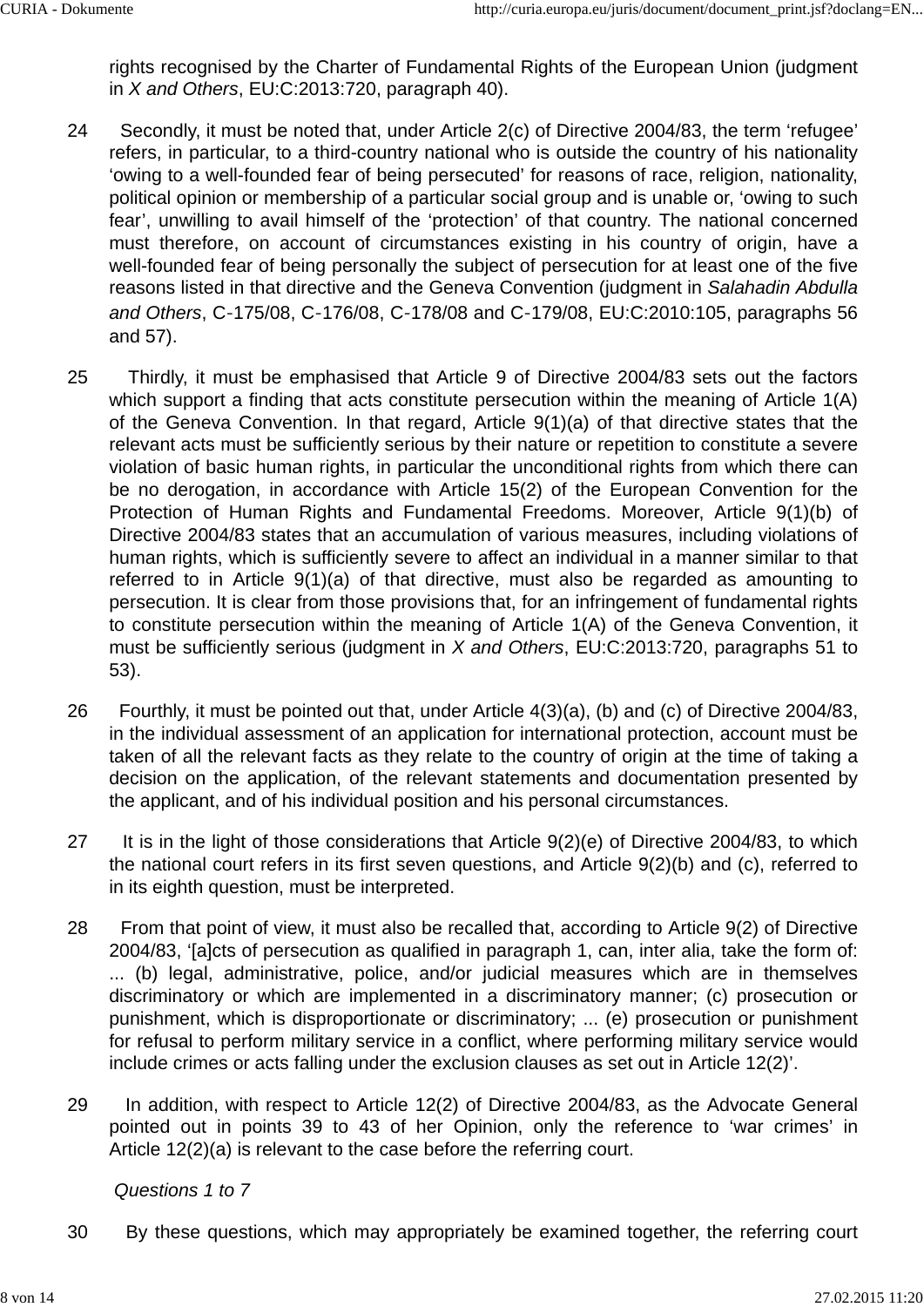rights recognised by the Charter of Fundamental Rights of the European Union (judgment in *X and Others*, EU:C:2013:720, paragraph 40).

- 24 Secondly, it must be noted that, under Article 2(c) of Directive 2004/83, the term 'refugee' refers, in particular, to a third-country national who is outside the country of his nationality 'owing to a well-founded fear of being persecuted' for reasons of race, religion, nationality, political opinion or membership of a particular social group and is unable or, 'owing to such fear', unwilling to avail himself of the 'protection' of that country. The national concerned must therefore, on account of circumstances existing in his country of origin, have a well-founded fear of being personally the subject of persecution for at least one of the five reasons listed in that directive and the Geneva Convention (judgment in *Salahadin Abdulla and Others*, C‑175/08, C‑176/08, C‑178/08 and C‑179/08, EU:C:2010:105, paragraphs 56 and 57).
- 25 Thirdly, it must be emphasised that Article 9 of Directive 2004/83 sets out the factors which support a finding that acts constitute persecution within the meaning of Article 1(A) of the Geneva Convention. In that regard, Article 9(1)(a) of that directive states that the relevant acts must be sufficiently serious by their nature or repetition to constitute a severe violation of basic human rights, in particular the unconditional rights from which there can be no derogation, in accordance with Article 15(2) of the European Convention for the Protection of Human Rights and Fundamental Freedoms. Moreover, Article 9(1)(b) of Directive 2004/83 states that an accumulation of various measures, including violations of human rights, which is sufficiently severe to affect an individual in a manner similar to that referred to in Article 9(1)(a) of that directive, must also be regarded as amounting to persecution. It is clear from those provisions that, for an infringement of fundamental rights to constitute persecution within the meaning of Article 1(A) of the Geneva Convention, it must be sufficiently serious (judgment in *X and Others*, EU:C:2013:720, paragraphs 51 to 53).
- 26 Fourthly, it must be pointed out that, under Article 4(3)(a), (b) and (c) of Directive 2004/83, in the individual assessment of an application for international protection, account must be taken of all the relevant facts as they relate to the country of origin at the time of taking a decision on the application, of the relevant statements and documentation presented by the applicant, and of his individual position and his personal circumstances.
- 27 It is in the light of those considerations that Article 9(2)(e) of Directive 2004/83, to which the national court refers in its first seven questions, and Article 9(2)(b) and (c), referred to in its eighth question, must be interpreted.
- 28 From that point of view, it must also be recalled that, according to Article 9(2) of Directive 2004/83, '[a]cts of persecution as qualified in paragraph 1, can, inter alia, take the form of: ... (b) legal, administrative, police, and/or judicial measures which are in themselves discriminatory or which are implemented in a discriminatory manner; (c) prosecution or punishment, which is disproportionate or discriminatory; ... (e) prosecution or punishment for refusal to perform military service in a conflict, where performing military service would include crimes or acts falling under the exclusion clauses as set out in Article 12(2)'.
- 29 In addition, with respect to Article 12(2) of Directive 2004/83, as the Advocate General pointed out in points 39 to 43 of her Opinion, only the reference to 'war crimes' in Article 12(2)(a) is relevant to the case before the referring court.

### *Questions 1 to 7*

30 By these questions, which may appropriately be examined together, the referring court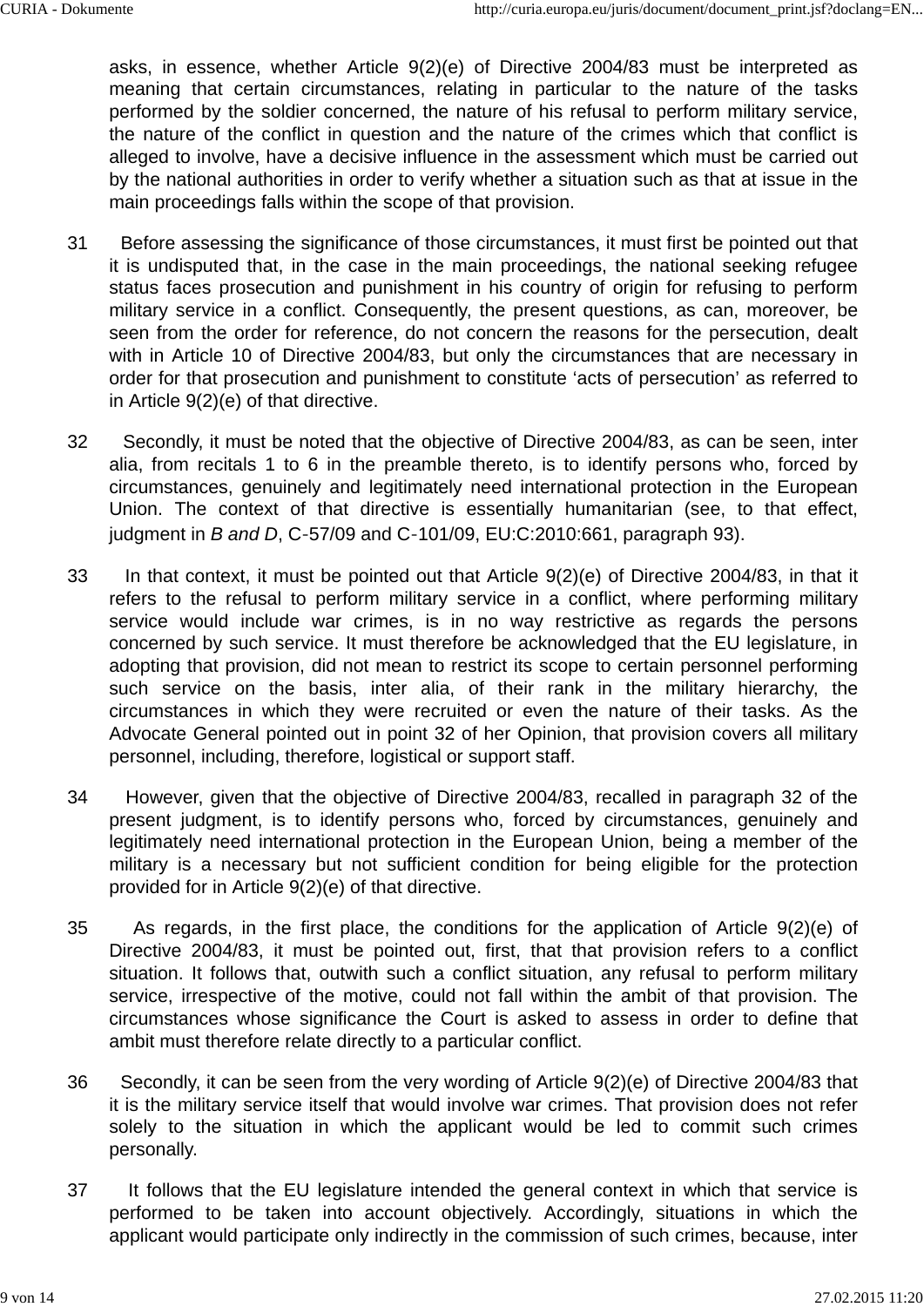asks, in essence, whether Article 9(2)(e) of Directive 2004/83 must be interpreted as meaning that certain circumstances, relating in particular to the nature of the tasks performed by the soldier concerned, the nature of his refusal to perform military service, the nature of the conflict in question and the nature of the crimes which that conflict is alleged to involve, have a decisive influence in the assessment which must be carried out by the national authorities in order to verify whether a situation such as that at issue in the main proceedings falls within the scope of that provision.

- 31 Before assessing the significance of those circumstances, it must first be pointed out that it is undisputed that, in the case in the main proceedings, the national seeking refugee status faces prosecution and punishment in his country of origin for refusing to perform military service in a conflict. Consequently, the present questions, as can, moreover, be seen from the order for reference, do not concern the reasons for the persecution, dealt with in Article 10 of Directive 2004/83, but only the circumstances that are necessary in order for that prosecution and punishment to constitute 'acts of persecution' as referred to in Article 9(2)(e) of that directive.
- 32 Secondly, it must be noted that the objective of Directive 2004/83, as can be seen, inter alia, from recitals 1 to 6 in the preamble thereto, is to identify persons who, forced by circumstances, genuinely and legitimately need international protection in the European Union. The context of that directive is essentially humanitarian (see, to that effect, judgment in *B and D*, C‑57/09 and C‑101/09, EU:C:2010:661, paragraph 93).
- 33 In that context, it must be pointed out that Article 9(2)(e) of Directive 2004/83, in that it refers to the refusal to perform military service in a conflict, where performing military service would include war crimes, is in no way restrictive as regards the persons concerned by such service. It must therefore be acknowledged that the EU legislature, in adopting that provision, did not mean to restrict its scope to certain personnel performing such service on the basis, inter alia, of their rank in the military hierarchy, the circumstances in which they were recruited or even the nature of their tasks. As the Advocate General pointed out in point 32 of her Opinion, that provision covers all military personnel, including, therefore, logistical or support staff.
- 34 However, given that the objective of Directive 2004/83, recalled in paragraph 32 of the present judgment, is to identify persons who, forced by circumstances, genuinely and legitimately need international protection in the European Union, being a member of the military is a necessary but not sufficient condition for being eligible for the protection provided for in Article 9(2)(e) of that directive.
- 35 As regards, in the first place, the conditions for the application of Article 9(2)(e) of Directive 2004/83, it must be pointed out, first, that that provision refers to a conflict situation. It follows that, outwith such a conflict situation, any refusal to perform military service, irrespective of the motive, could not fall within the ambit of that provision. The circumstances whose significance the Court is asked to assess in order to define that ambit must therefore relate directly to a particular conflict.
- 36 Secondly, it can be seen from the very wording of Article 9(2)(e) of Directive 2004/83 that it is the military service itself that would involve war crimes. That provision does not refer solely to the situation in which the applicant would be led to commit such crimes personally.
- 37 It follows that the EU legislature intended the general context in which that service is performed to be taken into account objectively. Accordingly, situations in which the applicant would participate only indirectly in the commission of such crimes, because, inter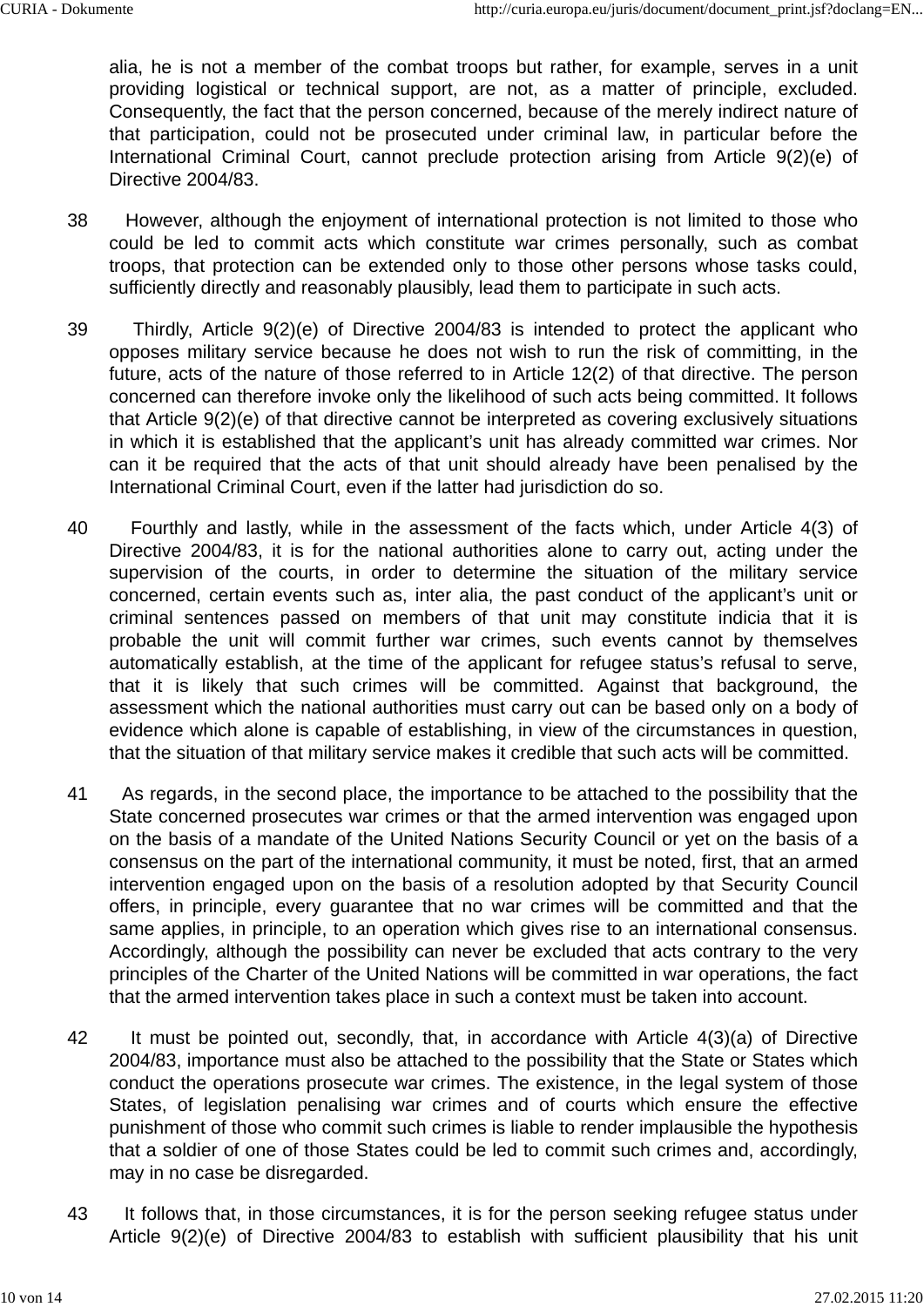alia, he is not a member of the combat troops but rather, for example, serves in a unit providing logistical or technical support, are not, as a matter of principle, excluded. Consequently, the fact that the person concerned, because of the merely indirect nature of that participation, could not be prosecuted under criminal law, in particular before the International Criminal Court, cannot preclude protection arising from Article 9(2)(e) of Directive 2004/83.

- 38 However, although the enjoyment of international protection is not limited to those who could be led to commit acts which constitute war crimes personally, such as combat troops, that protection can be extended only to those other persons whose tasks could, sufficiently directly and reasonably plausibly, lead them to participate in such acts.
- 39 Thirdly, Article 9(2)(e) of Directive 2004/83 is intended to protect the applicant who opposes military service because he does not wish to run the risk of committing, in the future, acts of the nature of those referred to in Article 12(2) of that directive. The person concerned can therefore invoke only the likelihood of such acts being committed. It follows that Article 9(2)(e) of that directive cannot be interpreted as covering exclusively situations in which it is established that the applicant's unit has already committed war crimes. Nor can it be required that the acts of that unit should already have been penalised by the International Criminal Court, even if the latter had jurisdiction do so.
- 40 Fourthly and lastly, while in the assessment of the facts which, under Article 4(3) of Directive 2004/83, it is for the national authorities alone to carry out, acting under the supervision of the courts, in order to determine the situation of the military service concerned, certain events such as, inter alia, the past conduct of the applicant's unit or criminal sentences passed on members of that unit may constitute indicia that it is probable the unit will commit further war crimes, such events cannot by themselves automatically establish, at the time of the applicant for refugee status's refusal to serve, that it is likely that such crimes will be committed. Against that background, the assessment which the national authorities must carry out can be based only on a body of evidence which alone is capable of establishing, in view of the circumstances in question, that the situation of that military service makes it credible that such acts will be committed.
- 41 As regards, in the second place, the importance to be attached to the possibility that the State concerned prosecutes war crimes or that the armed intervention was engaged upon on the basis of a mandate of the United Nations Security Council or yet on the basis of a consensus on the part of the international community, it must be noted, first, that an armed intervention engaged upon on the basis of a resolution adopted by that Security Council offers, in principle, every guarantee that no war crimes will be committed and that the same applies, in principle, to an operation which gives rise to an international consensus. Accordingly, although the possibility can never be excluded that acts contrary to the very principles of the Charter of the United Nations will be committed in war operations, the fact that the armed intervention takes place in such a context must be taken into account.
- 42 It must be pointed out, secondly, that, in accordance with Article 4(3)(a) of Directive 2004/83, importance must also be attached to the possibility that the State or States which conduct the operations prosecute war crimes. The existence, in the legal system of those States, of legislation penalising war crimes and of courts which ensure the effective punishment of those who commit such crimes is liable to render implausible the hypothesis that a soldier of one of those States could be led to commit such crimes and, accordingly, may in no case be disregarded.
- 43 It follows that, in those circumstances, it is for the person seeking refugee status under Article 9(2)(e) of Directive 2004/83 to establish with sufficient plausibility that his unit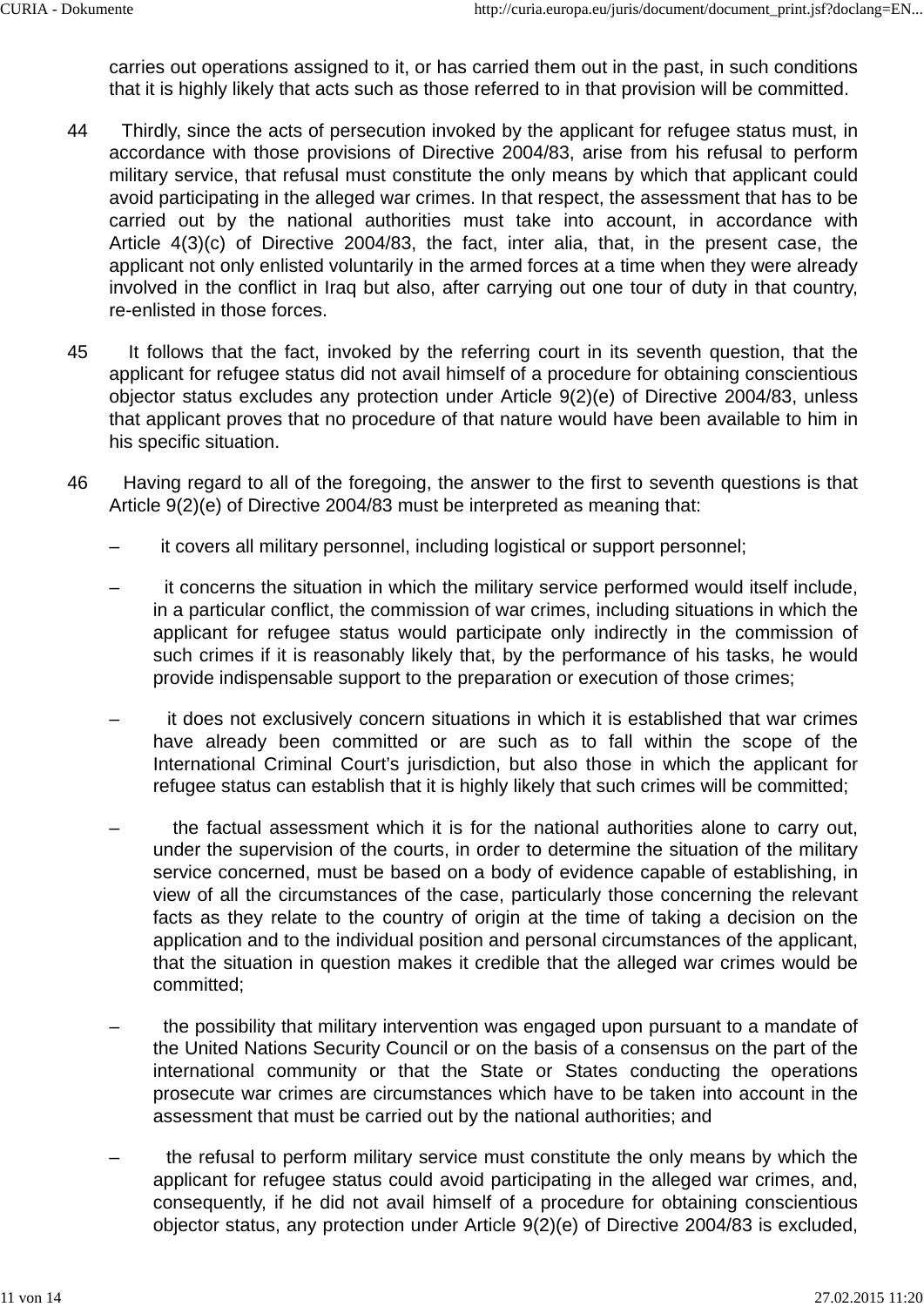carries out operations assigned to it, or has carried them out in the past, in such conditions that it is highly likely that acts such as those referred to in that provision will be committed.

- 44 Thirdly, since the acts of persecution invoked by the applicant for refugee status must, in accordance with those provisions of Directive 2004/83, arise from his refusal to perform military service, that refusal must constitute the only means by which that applicant could avoid participating in the alleged war crimes. In that respect, the assessment that has to be carried out by the national authorities must take into account, in accordance with Article 4(3)(c) of Directive 2004/83, the fact, inter alia, that, in the present case, the applicant not only enlisted voluntarily in the armed forces at a time when they were already involved in the conflict in Iraq but also, after carrying out one tour of duty in that country, re-enlisted in those forces.
- 45 It follows that the fact, invoked by the referring court in its seventh question, that the applicant for refugee status did not avail himself of a procedure for obtaining conscientious objector status excludes any protection under Article 9(2)(e) of Directive 2004/83, unless that applicant proves that no procedure of that nature would have been available to him in his specific situation.
- 46 Having regard to all of the foregoing, the answer to the first to seventh questions is that Article 9(2)(e) of Directive 2004/83 must be interpreted as meaning that:
	- it covers all military personnel, including logistical or support personnel;
	- it concerns the situation in which the military service performed would itself include, in a particular conflict, the commission of war crimes, including situations in which the applicant for refugee status would participate only indirectly in the commission of such crimes if it is reasonably likely that, by the performance of his tasks, he would provide indispensable support to the preparation or execution of those crimes;
	- it does not exclusively concern situations in which it is established that war crimes have already been committed or are such as to fall within the scope of the International Criminal Court's jurisdiction, but also those in which the applicant for refugee status can establish that it is highly likely that such crimes will be committed;
	- the factual assessment which it is for the national authorities alone to carry out, under the supervision of the courts, in order to determine the situation of the military service concerned, must be based on a body of evidence capable of establishing, in view of all the circumstances of the case, particularly those concerning the relevant facts as they relate to the country of origin at the time of taking a decision on the application and to the individual position and personal circumstances of the applicant, that the situation in question makes it credible that the alleged war crimes would be committed;
	- the possibility that military intervention was engaged upon pursuant to a mandate of the United Nations Security Council or on the basis of a consensus on the part of the international community or that the State or States conducting the operations prosecute war crimes are circumstances which have to be taken into account in the assessment that must be carried out by the national authorities; and
	- the refusal to perform military service must constitute the only means by which the applicant for refugee status could avoid participating in the alleged war crimes, and, consequently, if he did not avail himself of a procedure for obtaining conscientious objector status, any protection under Article 9(2)(e) of Directive 2004/83 is excluded,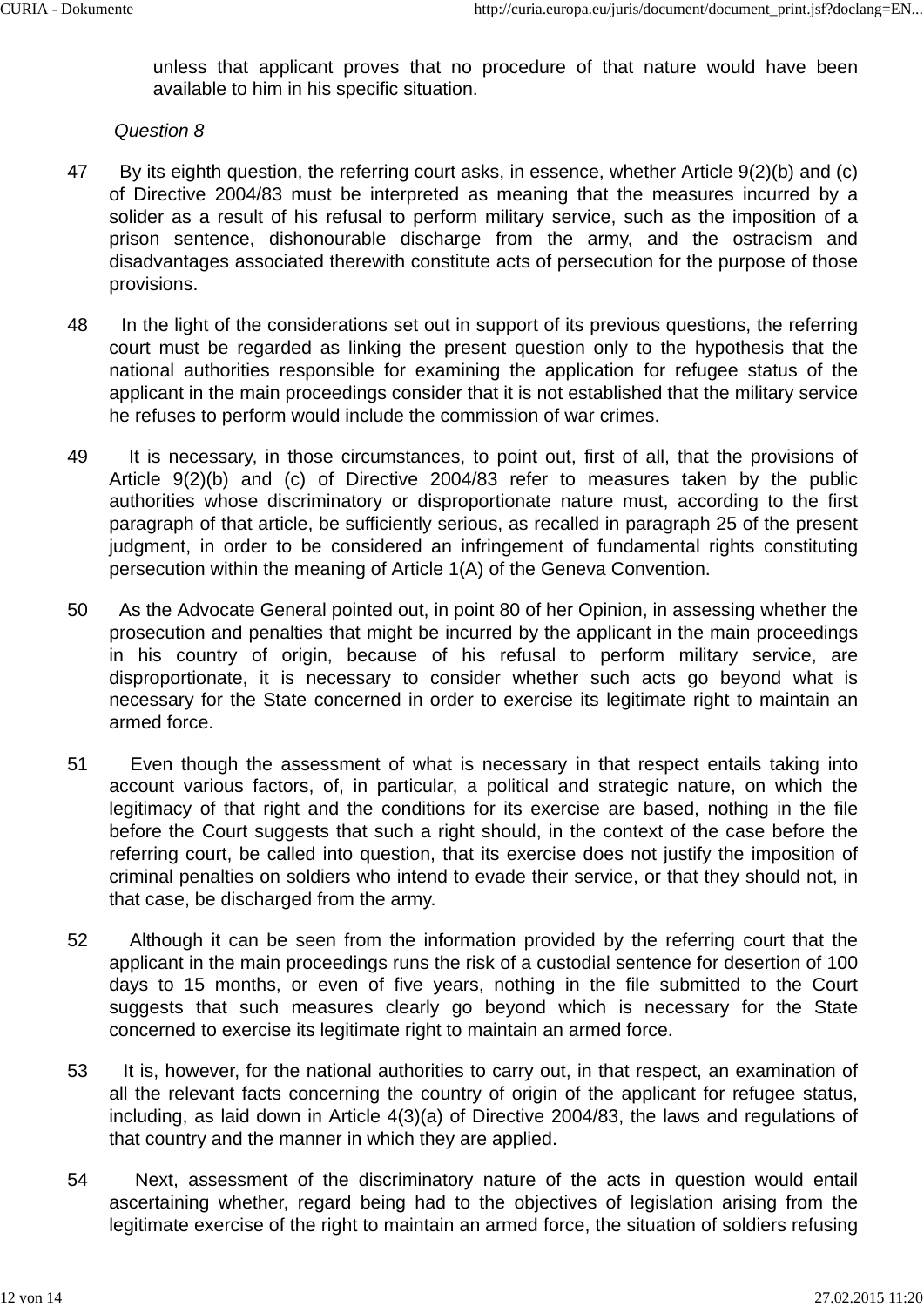unless that applicant proves that no procedure of that nature would have been available to him in his specific situation.

#### *Question 8*

- 47 By its eighth question, the referring court asks, in essence, whether Article 9(2)(b) and (c) of Directive 2004/83 must be interpreted as meaning that the measures incurred by a solider as a result of his refusal to perform military service, such as the imposition of a prison sentence, dishonourable discharge from the army, and the ostracism and disadvantages associated therewith constitute acts of persecution for the purpose of those provisions.
- 48 In the light of the considerations set out in support of its previous questions, the referring court must be regarded as linking the present question only to the hypothesis that the national authorities responsible for examining the application for refugee status of the applicant in the main proceedings consider that it is not established that the military service he refuses to perform would include the commission of war crimes.
- 49 It is necessary, in those circumstances, to point out, first of all, that the provisions of Article 9(2)(b) and (c) of Directive 2004/83 refer to measures taken by the public authorities whose discriminatory or disproportionate nature must, according to the first paragraph of that article, be sufficiently serious, as recalled in paragraph 25 of the present judgment, in order to be considered an infringement of fundamental rights constituting persecution within the meaning of Article 1(A) of the Geneva Convention.
- 50 As the Advocate General pointed out, in point 80 of her Opinion, in assessing whether the prosecution and penalties that might be incurred by the applicant in the main proceedings in his country of origin, because of his refusal to perform military service, are disproportionate, it is necessary to consider whether such acts go beyond what is necessary for the State concerned in order to exercise its legitimate right to maintain an armed force.
- 51 Even though the assessment of what is necessary in that respect entails taking into account various factors, of, in particular, a political and strategic nature, on which the legitimacy of that right and the conditions for its exercise are based, nothing in the file before the Court suggests that such a right should, in the context of the case before the referring court, be called into question, that its exercise does not justify the imposition of criminal penalties on soldiers who intend to evade their service, or that they should not, in that case, be discharged from the army.
- 52 Although it can be seen from the information provided by the referring court that the applicant in the main proceedings runs the risk of a custodial sentence for desertion of 100 days to 15 months, or even of five years, nothing in the file submitted to the Court suggests that such measures clearly go beyond which is necessary for the State concerned to exercise its legitimate right to maintain an armed force.
- 53 It is, however, for the national authorities to carry out, in that respect, an examination of all the relevant facts concerning the country of origin of the applicant for refugee status, including, as laid down in Article 4(3)(a) of Directive 2004/83, the laws and regulations of that country and the manner in which they are applied.
- 54 Next, assessment of the discriminatory nature of the acts in question would entail ascertaining whether, regard being had to the objectives of legislation arising from the legitimate exercise of the right to maintain an armed force, the situation of soldiers refusing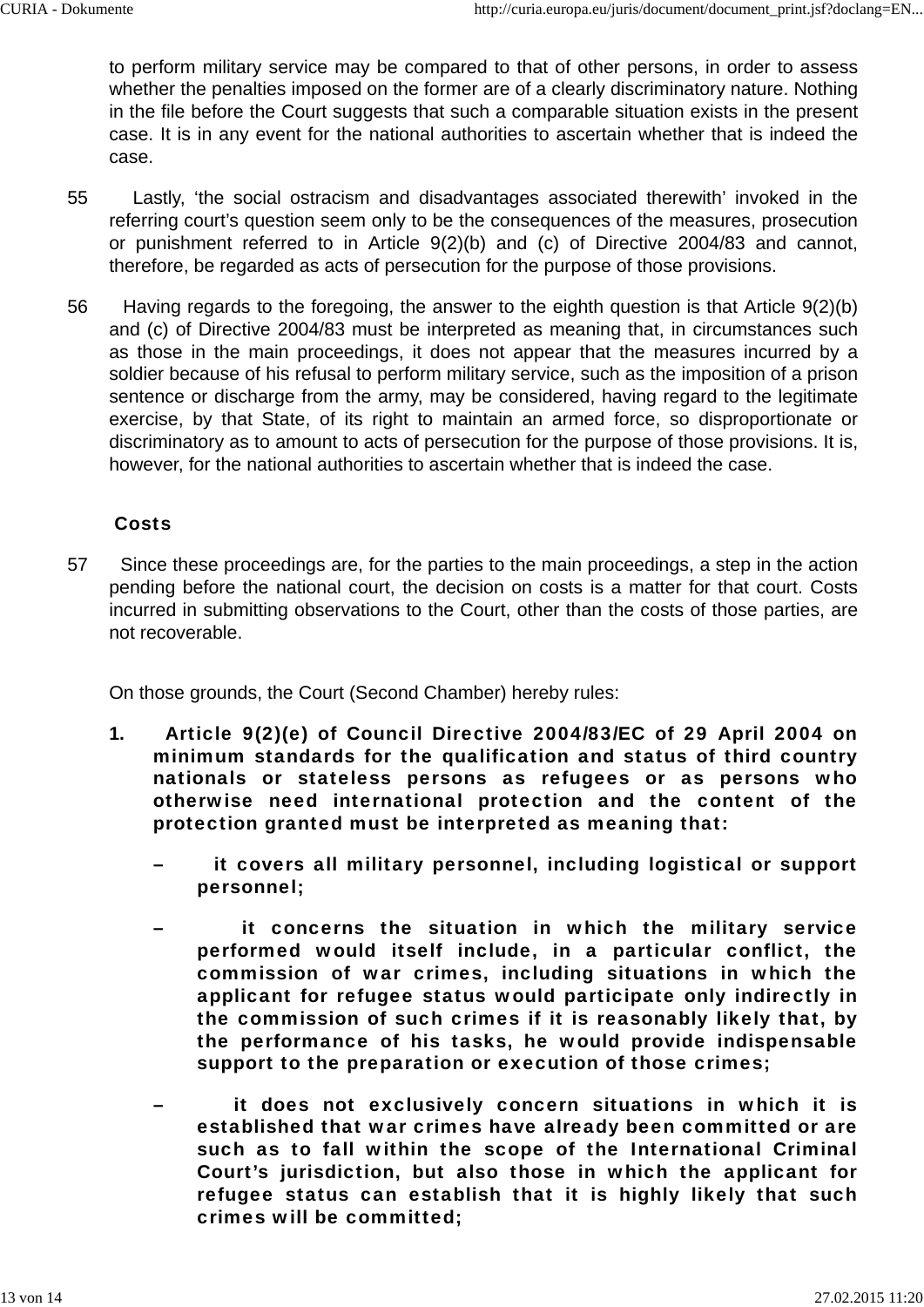to perform military service may be compared to that of other persons, in order to assess whether the penalties imposed on the former are of a clearly discriminatory nature. Nothing in the file before the Court suggests that such a comparable situation exists in the present case. It is in any event for the national authorities to ascertain whether that is indeed the case.

- 55 Lastly, 'the social ostracism and disadvantages associated therewith' invoked in the referring court's question seem only to be the consequences of the measures, prosecution or punishment referred to in Article 9(2)(b) and (c) of Directive 2004/83 and cannot, therefore, be regarded as acts of persecution for the purpose of those provisions.
- 56 Having regards to the foregoing, the answer to the eighth question is that Article 9(2)(b) and (c) of Directive 2004/83 must be interpreted as meaning that, in circumstances such as those in the main proceedings, it does not appear that the measures incurred by a soldier because of his refusal to perform military service, such as the imposition of a prison sentence or discharge from the army, may be considered, having regard to the legitimate exercise, by that State, of its right to maintain an armed force, so disproportionate or discriminatory as to amount to acts of persecution for the purpose of those provisions. It is, however, for the national authorities to ascertain whether that is indeed the case.

### Costs

57 Since these proceedings are, for the parties to the main proceedings, a step in the action pending before the national court, the decision on costs is a matter for that court. Costs incurred in submitting observations to the Court, other than the costs of those parties, are not recoverable.

On those grounds, the Court (Second Chamber) hereby rules:

- **1.** Article 9(2)(e) of Council Directive 2004/83/EC of 29 April 2004 on minimum standards for the qualification and status of third country nationals or stateless persons as refugees or as persons who otherwise need international protection and the content of the protection granted must be interpreted as meaning that:
	- it covers all military personnel, including logistical or support personnel;
	- it concerns the situation in which the military service performed would itself include, in a particular conflict, the commission of war crimes, including situations in which the applicant for refugee status would participate only indirectly in the commission of such crimes if it is reasonably likely that, by the performance of his tasks, he would provide indispensable support to the preparation or execution of those crimes;
	- it does not exclusively concern situations in which it is established that war crimes have already been committed or are such as to fall within the scope of the International Criminal Court's jurisdiction, but also those in which the applicant for refugee status can establish that it is highly likely that such crimes will be committed;